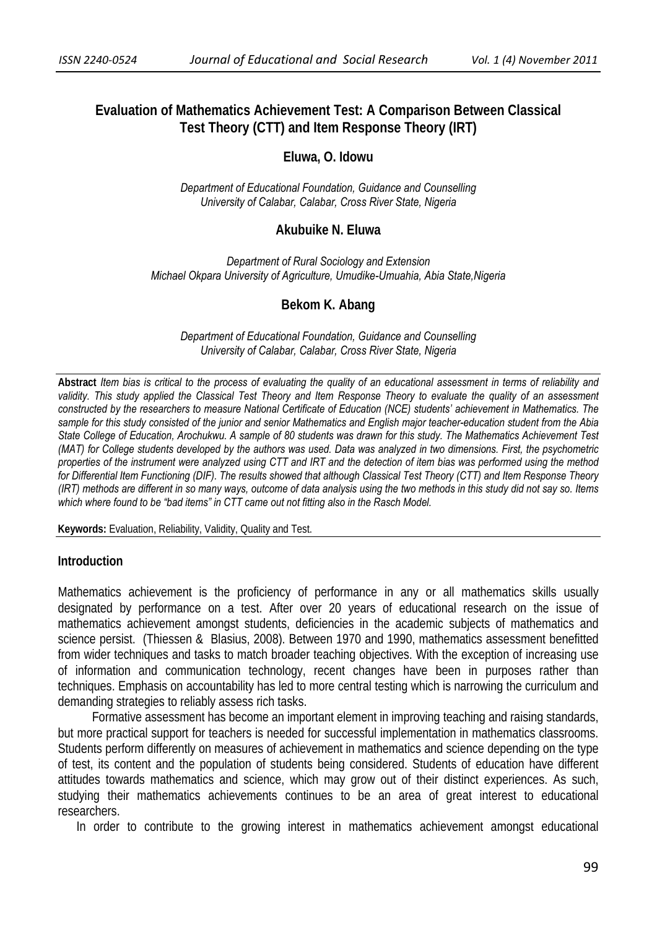# **Evaluation of Mathematics Achievement Test: A Comparison Between Classical Test Theory (CTT) and Item Response Theory (IRT)**

### **Eluwa, O. Idowu**

*Department of Educational Foundation, Guidance and Counselling University of Calabar, Calabar, Cross River State, Nigeria* 

#### **Akubuike N. Eluwa**

*Department of Rural Sociology and Extension Michael Okpara University of Agriculture, Umudike-Umuahia, Abia State,Nigeria* 

#### **Bekom K. Abang**

*Department of Educational Foundation, Guidance and Counselling University of Calabar, Calabar, Cross River State, Nigeria* 

**Abstract** *Item bias is critical to the process of evaluating the quality of an educational assessment in terms of reliability and*  validity. This study applied the Classical Test Theory and Item Response Theory to evaluate the quality of an assessment *constructed by the researchers to measure National Certificate of Education (NCE) students' achievement in Mathematics. The sample for this study consisted of the junior and senior Mathematics and English major teacher-education student from the Abia State College of Education, Arochukwu. A sample of 80 students was drawn for this study. The Mathematics Achievement Test (MAT) for College students developed by the authors was used. Data was analyzed in two dimensions. First, the psychometric properties of the instrument were analyzed using CTT and IRT and the detection of item bias was performed using the method for Differential Item Functioning (DIF). The results showed that although Classical Test Theory (CTT) and Item Response Theory (IRT) methods are different in so many ways, outcome of data analysis using the two methods in this study did not say so. Items which where found to be "bad items" in CTT came out not fitting also in the Rasch Model.* 

**Keywords:** Evaluation, Reliability, Validity, Quality and Test.

#### **Introduction**

Mathematics achievement is the proficiency of performance in any or all mathematics skills usually designated by performance on a test. After over 20 years of educational research on the issue of mathematics achievement amongst students, deficiencies in the academic subjects of mathematics and science persist. (Thiessen & Blasius, 2008). Between 1970 and 1990, mathematics assessment benefitted from wider techniques and tasks to match broader teaching objectives. With the exception of increasing use of information and communication technology, recent changes have been in purposes rather than techniques. Emphasis on accountability has led to more central testing which is narrowing the curriculum and demanding strategies to reliably assess rich tasks.

 Formative assessment has become an important element in improving teaching and raising standards, but more practical support for teachers is needed for successful implementation in mathematics classrooms. Students perform differently on measures of achievement in mathematics and science depending on the type of test, its content and the population of students being considered. Students of education have different attitudes towards mathematics and science, which may grow out of their distinct experiences. As such, studying their mathematics achievements continues to be an area of great interest to educational researchers.

In order to contribute to the growing interest in mathematics achievement amongst educational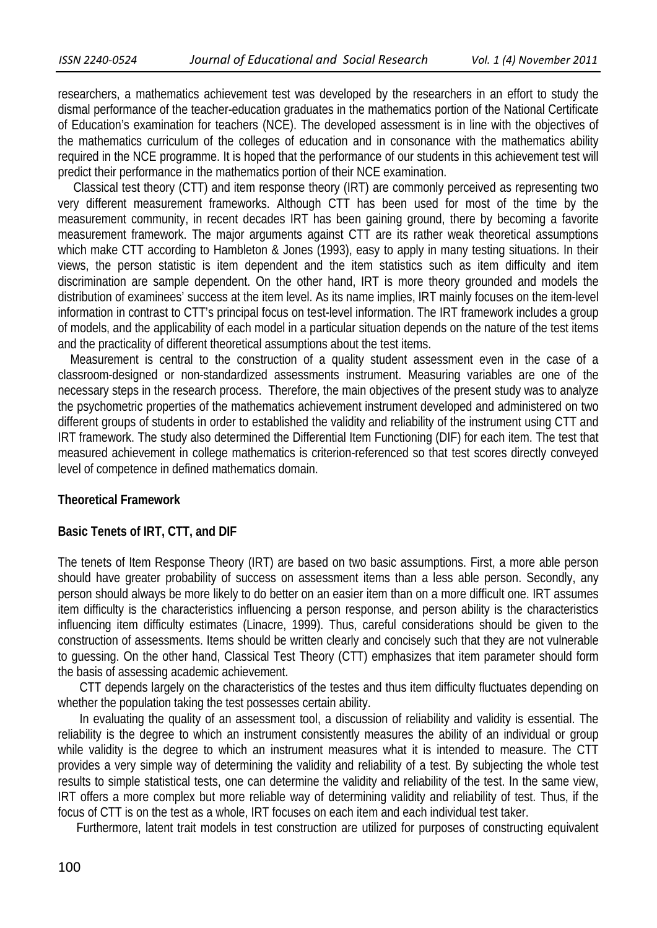researchers, a mathematics achievement test was developed by the researchers in an effort to study the dismal performance of the teacher-education graduates in the mathematics portion of the National Certificate of Education's examination for teachers (NCE). The developed assessment is in line with the objectives of the mathematics curriculum of the colleges of education and in consonance with the mathematics ability required in the NCE programme. It is hoped that the performance of our students in this achievement test will predict their performance in the mathematics portion of their NCE examination.

 Classical test theory (CTT) and item response theory (IRT) are commonly perceived as representing two very different measurement frameworks. Although CTT has been used for most of the time by the measurement community, in recent decades IRT has been gaining ground, there by becoming a favorite measurement framework. The major arguments against CTT are its rather weak theoretical assumptions which make CTT according to Hambleton & Jones (1993), easy to apply in many testing situations. In their views, the person statistic is item dependent and the item statistics such as item difficulty and item discrimination are sample dependent. On the other hand, IRT is more theory grounded and models the distribution of examinees' success at the item level. As its name implies, IRT mainly focuses on the item-level information in contrast to CTT's principal focus on test-level information. The IRT framework includes a group of models, and the applicability of each model in a particular situation depends on the nature of the test items and the practicality of different theoretical assumptions about the test items.

 Measurement is central to the construction of a quality student assessment even in the case of a classroom-designed or non-standardized assessments instrument. Measuring variables are one of the necessary steps in the research process. Therefore, the main objectives of the present study was to analyze the psychometric properties of the mathematics achievement instrument developed and administered on two different groups of students in order to established the validity and reliability of the instrument using CTT and IRT framework. The study also determined the Differential Item Functioning (DIF) for each item. The test that measured achievement in college mathematics is criterion-referenced so that test scores directly conveyed level of competence in defined mathematics domain.

#### **Theoretical Framework**

### **Basic Tenets of IRT, CTT, and DIF**

The tenets of Item Response Theory (IRT) are based on two basic assumptions. First, a more able person should have greater probability of success on assessment items than a less able person. Secondly, any person should always be more likely to do better on an easier item than on a more difficult one. IRT assumes item difficulty is the characteristics influencing a person response, and person ability is the characteristics influencing item difficulty estimates (Linacre, 1999). Thus, careful considerations should be given to the construction of assessments. Items should be written clearly and concisely such that they are not vulnerable to guessing. On the other hand, Classical Test Theory (CTT) emphasizes that item parameter should form the basis of assessing academic achievement.

 CTT depends largely on the characteristics of the testes and thus item difficulty fluctuates depending on whether the population taking the test possesses certain ability.

 In evaluating the quality of an assessment tool, a discussion of reliability and validity is essential. The reliability is the degree to which an instrument consistently measures the ability of an individual or group while validity is the degree to which an instrument measures what it is intended to measure. The CTT provides a very simple way of determining the validity and reliability of a test. By subjecting the whole test results to simple statistical tests, one can determine the validity and reliability of the test. In the same view, IRT offers a more complex but more reliable way of determining validity and reliability of test. Thus, if the focus of CTT is on the test as a whole, IRT focuses on each item and each individual test taker.

Furthermore, latent trait models in test construction are utilized for purposes of constructing equivalent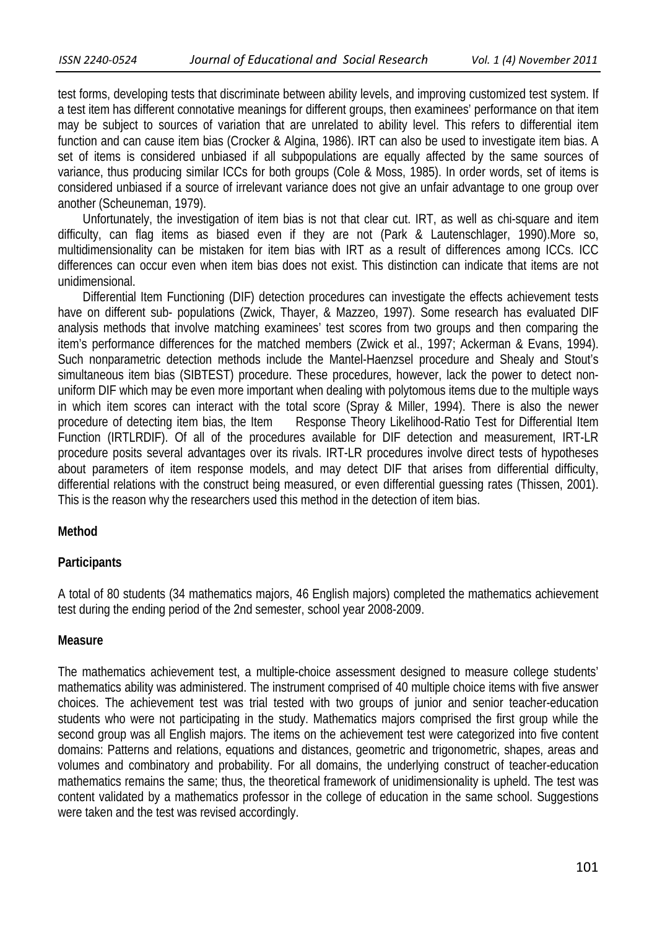test forms, developing tests that discriminate between ability levels, and improving customized test system. If a test item has different connotative meanings for different groups, then examinees' performance on that item may be subject to sources of variation that are unrelated to ability level. This refers to differential item function and can cause item bias (Crocker & Algina, 1986). IRT can also be used to investigate item bias. A set of items is considered unbiased if all subpopulations are equally affected by the same sources of variance, thus producing similar ICCs for both groups (Cole & Moss, 1985). In order words, set of items is considered unbiased if a source of irrelevant variance does not give an unfair advantage to one group over another (Scheuneman, 1979).

 Unfortunately, the investigation of item bias is not that clear cut. IRT, as well as chi-square and item difficulty, can flag items as biased even if they are not (Park & Lautenschlager, 1990).More so, multidimensionality can be mistaken for item bias with IRT as a result of differences among ICCs. ICC differences can occur even when item bias does not exist. This distinction can indicate that items are not unidimensional.

 Differential Item Functioning (DIF) detection procedures can investigate the effects achievement tests have on different sub- populations (Zwick, Thayer, & Mazzeo, 1997). Some research has evaluated DIF analysis methods that involve matching examinees' test scores from two groups and then comparing the item's performance differences for the matched members (Zwick et al., 1997; Ackerman & Evans, 1994). Such nonparametric detection methods include the Mantel-Haenzsel procedure and Shealy and Stout's simultaneous item bias (SIBTEST) procedure. These procedures, however, lack the power to detect nonuniform DIF which may be even more important when dealing with polytomous items due to the multiple ways in which item scores can interact with the total score (Spray & Miller, 1994). There is also the newer procedure of detecting item bias, the Item Response Theory Likelihood-Ratio Test for Differential Item Function (IRTLRDIF). Of all of the procedures available for DIF detection and measurement, IRT-LR procedure posits several advantages over its rivals. IRT-LR procedures involve direct tests of hypotheses about parameters of item response models, and may detect DIF that arises from differential difficulty, differential relations with the construct being measured, or even differential guessing rates (Thissen, 2001). This is the reason why the researchers used this method in the detection of item bias.

### **Method**

## **Participants**

A total of 80 students (34 mathematics majors, 46 English majors) completed the mathematics achievement test during the ending period of the 2nd semester, school year 2008-2009.

### **Measure**

The mathematics achievement test, a multiple-choice assessment designed to measure college students' mathematics ability was administered. The instrument comprised of 40 multiple choice items with five answer choices. The achievement test was trial tested with two groups of junior and senior teacher-education students who were not participating in the study. Mathematics majors comprised the first group while the second group was all English majors. The items on the achievement test were categorized into five content domains: Patterns and relations, equations and distances, geometric and trigonometric, shapes, areas and volumes and combinatory and probability. For all domains, the underlying construct of teacher-education mathematics remains the same; thus, the theoretical framework of unidimensionality is upheld. The test was content validated by a mathematics professor in the college of education in the same school. Suggestions were taken and the test was revised accordingly.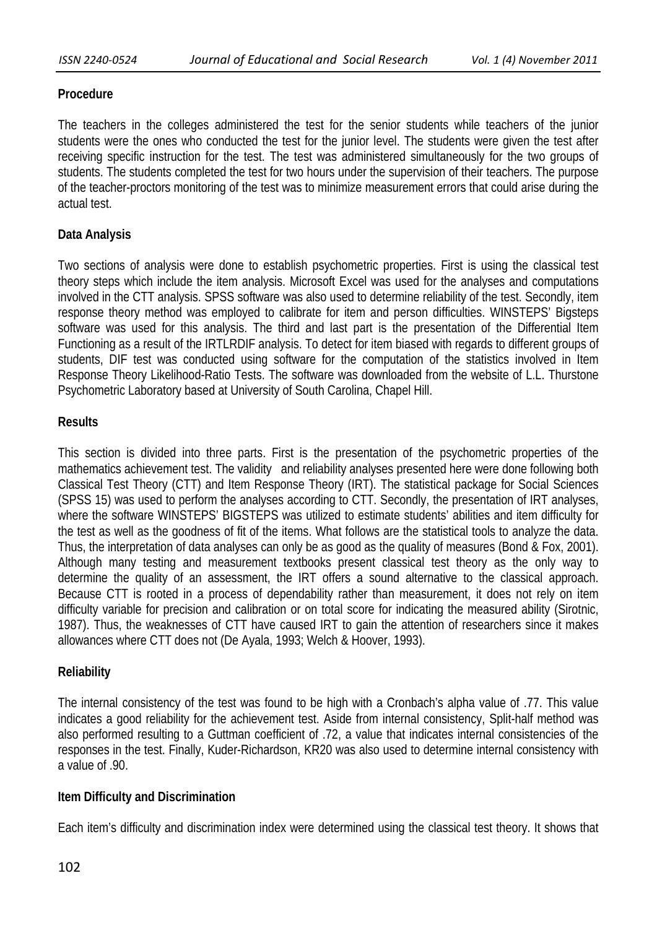# **Procedure**

The teachers in the colleges administered the test for the senior students while teachers of the junior students were the ones who conducted the test for the junior level. The students were given the test after receiving specific instruction for the test. The test was administered simultaneously for the two groups of students. The students completed the test for two hours under the supervision of their teachers. The purpose of the teacher-proctors monitoring of the test was to minimize measurement errors that could arise during the actual test.

# **Data Analysis**

Two sections of analysis were done to establish psychometric properties. First is using the classical test theory steps which include the item analysis. Microsoft Excel was used for the analyses and computations involved in the CTT analysis. SPSS software was also used to determine reliability of the test. Secondly, item response theory method was employed to calibrate for item and person difficulties. WINSTEPS' Bigsteps software was used for this analysis. The third and last part is the presentation of the Differential Item Functioning as a result of the IRTLRDIF analysis. To detect for item biased with regards to different groups of students, DIF test was conducted using software for the computation of the statistics involved in Item Response Theory Likelihood-Ratio Tests. The software was downloaded from the website of L.L. Thurstone Psychometric Laboratory based at University of South Carolina, Chapel Hill.

## **Results**

This section is divided into three parts. First is the presentation of the psychometric properties of the mathematics achievement test. The validity and reliability analyses presented here were done following both Classical Test Theory (CTT) and Item Response Theory (IRT). The statistical package for Social Sciences (SPSS 15) was used to perform the analyses according to CTT. Secondly, the presentation of IRT analyses, where the software WINSTEPS' BIGSTEPS was utilized to estimate students' abilities and item difficulty for the test as well as the goodness of fit of the items. What follows are the statistical tools to analyze the data. Thus, the interpretation of data analyses can only be as good as the quality of measures (Bond & Fox, 2001). Although many testing and measurement textbooks present classical test theory as the only way to determine the quality of an assessment, the IRT offers a sound alternative to the classical approach. Because CTT is rooted in a process of dependability rather than measurement, it does not rely on item difficulty variable for precision and calibration or on total score for indicating the measured ability (Sirotnic, 1987). Thus, the weaknesses of CTT have caused IRT to gain the attention of researchers since it makes allowances where CTT does not (De Ayala, 1993; Welch & Hoover, 1993).

## **Reliability**

The internal consistency of the test was found to be high with a Cronbach's alpha value of .77. This value indicates a good reliability for the achievement test. Aside from internal consistency, Split-half method was also performed resulting to a Guttman coefficient of .72, a value that indicates internal consistencies of the responses in the test. Finally, Kuder-Richardson, KR20 was also used to determine internal consistency with a value of .90.

# **Item Difficulty and Discrimination**

Each item's difficulty and discrimination index were determined using the classical test theory. It shows that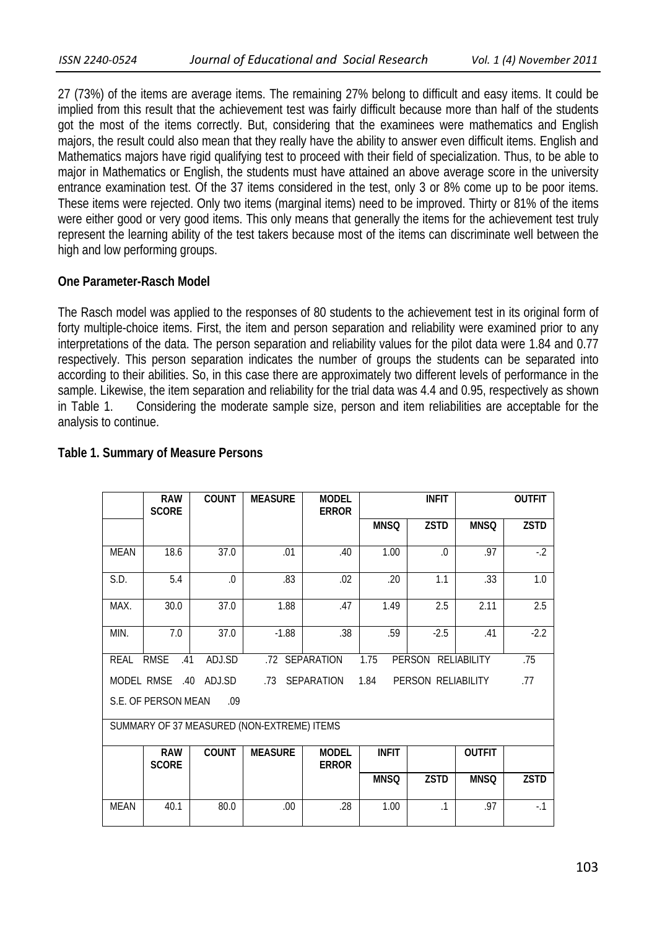27 (73%) of the items are average items. The remaining 27% belong to difficult and easy items. It could be implied from this result that the achievement test was fairly difficult because more than half of the students got the most of the items correctly. But, considering that the examinees were mathematics and English majors, the result could also mean that they really have the ability to answer even difficult items. English and Mathematics majors have rigid qualifying test to proceed with their field of specialization. Thus, to be able to major in Mathematics or English, the students must have attained an above average score in the university entrance examination test. Of the 37 items considered in the test, only 3 or 8% come up to be poor items. These items were rejected. Only two items (marginal items) need to be improved. Thirty or 81% of the items were either good or very good items. This only means that generally the items for the achievement test truly represent the learning ability of the test takers because most of the items can discriminate well between the high and low performing groups.

## **One Parameter-Rasch Model**

The Rasch model was applied to the responses of 80 students to the achievement test in its original form of forty multiple-choice items. First, the item and person separation and reliability were examined prior to any interpretations of the data. The person separation and reliability values for the pilot data were 1.84 and 0.77 respectively. This person separation indicates the number of groups the students can be separated into according to their abilities. So, in this case there are approximately two different levels of performance in the sample. Likewise, the item separation and reliability for the trial data was 4.4 and 0.95, respectively as shown in Table 1. Considering the moderate sample size, person and item reliabilities are acceptable for the analysis to continue.

|                                                                                       | <b>RAW</b><br><b>SCORE</b>                                                                           | <b>COUNT</b> | <b>MEASURE</b> | <b>MODEL</b><br><b>ERROR</b> |              | <b>INFIT</b> | <b>OUTFIT</b> |             |  |  |  |
|---------------------------------------------------------------------------------------|------------------------------------------------------------------------------------------------------|--------------|----------------|------------------------------|--------------|--------------|---------------|-------------|--|--|--|
|                                                                                       |                                                                                                      |              |                |                              | <b>MNSQ</b>  | <b>ZSTD</b>  | <b>MNSQ</b>   | <b>ZSTD</b> |  |  |  |
| <b>MEAN</b>                                                                           | 18.6                                                                                                 | 37.0         | .01            | .40                          | 1.00         | $\Omega$     | .97           | $-2$        |  |  |  |
| S.D.                                                                                  | 5.4                                                                                                  | $\Omega$ .   | .83            | .02                          | .20          | 1.1          | .33           | 1.0         |  |  |  |
| MAX.                                                                                  | 30.0                                                                                                 | 37.0         | 1.88           | .47                          | 1.49         | 2.5          | 2.11          | 2.5         |  |  |  |
| MIN.                                                                                  | 7.0                                                                                                  | 37.0         | $-1.88$        | .38                          | .59          | $-2.5$       | .41           | $-2.2$      |  |  |  |
| <b>REAL</b>                                                                           | <b>RMSE</b><br>1.75<br>ADJ.SD<br>.72 SEPARATION<br><b>PERSON</b><br><b>RELIABILITY</b><br>.75<br>.41 |              |                |                              |              |              |               |             |  |  |  |
| MODEL RMSE<br>.40<br>ADJ.SD<br>SEPARATION<br>1.84<br>PERSON RELIABILITY<br>.77<br>.73 |                                                                                                      |              |                |                              |              |              |               |             |  |  |  |
| S.E. OF PERSON MEAN<br>.09                                                            |                                                                                                      |              |                |                              |              |              |               |             |  |  |  |
| SUMMARY OF 37 MEASURED (NON-EXTREME) ITEMS                                            |                                                                                                      |              |                |                              |              |              |               |             |  |  |  |
|                                                                                       | <b>RAW</b><br><b>SCORE</b>                                                                           | <b>COUNT</b> | <b>MEASURE</b> | <b>MODEL</b><br><b>ERROR</b> | <b>INFIT</b> |              | <b>OUTFIT</b> |             |  |  |  |
|                                                                                       |                                                                                                      |              |                |                              | <b>MNSQ</b>  | <b>ZSTD</b>  | <b>MNSQ</b>   | <b>ZSTD</b> |  |  |  |
| <b>MEAN</b>                                                                           | 40.1                                                                                                 | 80.0         | .00.           | .28                          | 1.00         | $\cdot$ 1    | .97           | $-1$        |  |  |  |

## **Table 1. Summary of Measure Persons**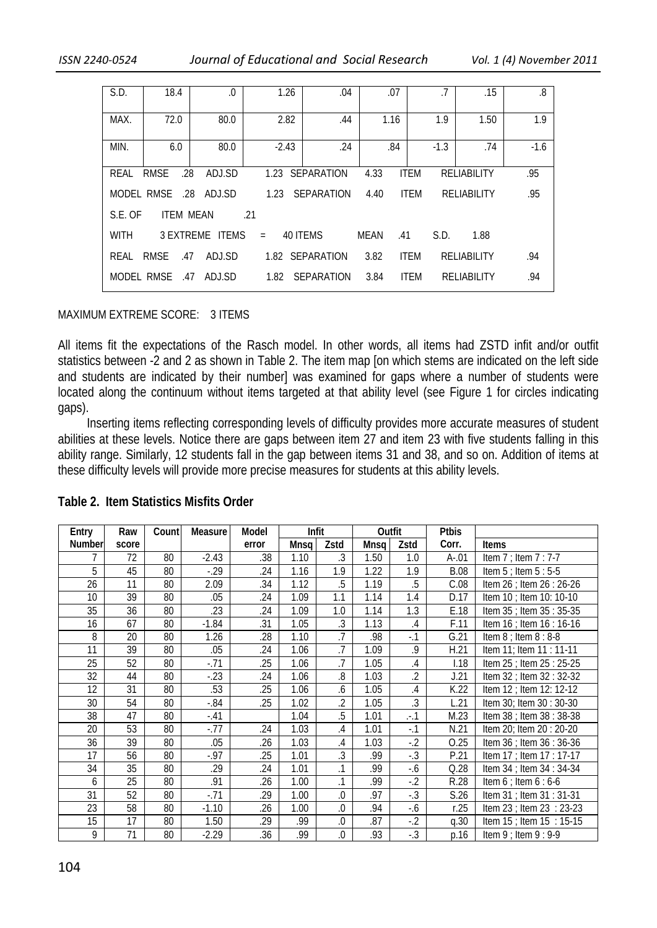| S.D.                                                                     | 18.4               | $0.$            | 1.26    | .04               | .07         | .7            | .15         | .8     |  |
|--------------------------------------------------------------------------|--------------------|-----------------|---------|-------------------|-------------|---------------|-------------|--------|--|
|                                                                          |                    |                 |         |                   |             |               |             |        |  |
| MAX.                                                                     | 72.0               | 80.0            | 2.82    | .44               | 1.16        | 1.9           | 1.50        | 1.9    |  |
|                                                                          |                    |                 |         |                   |             |               |             |        |  |
| MIN.                                                                     | 6.0                | 80.0            | $-2.43$ | .24               | .84         | $-1.3$<br>.74 |             | $-1.6$ |  |
|                                                                          |                    |                 |         |                   |             |               |             |        |  |
| RFAI                                                                     | .28<br><b>RMSE</b> | ADJ.SD          |         | 1.23 SEPARATION   | 4.33        | <b>ITEM</b>   | RELIABILITY | .95    |  |
| MODEL RMSE<br>.28<br>ADJ.SD<br>SEPARATION<br><b>ITEM</b><br>1.23<br>4.40 |                    |                 |         |                   |             | RELIABILITY   | .95         |        |  |
| <b>ITEM MEAN</b><br>S.E. OF<br>.21                                       |                    |                 |         |                   |             |               |             |        |  |
| <b>WITH</b>                                                              |                    | 3 EXTREME ITEMS | $=$     | 40 ITEMS          | MEAN<br>.41 | S.D.          | 1.88        |        |  |
| RFAI                                                                     | <b>RMSE</b><br>.47 | ADJ.SD          |         | 1.82 SEPARATION   | 3.82        | <b>ITEM</b>   | RELIABILITY | .94    |  |
| MODEL RMSE                                                               | .47                | ADJ.SD          | 1.82    | <b>SEPARATION</b> | 3.84        | <b>ITEM</b>   | RELIABILITY | .94    |  |
|                                                                          |                    |                 |         |                   |             |               |             |        |  |

#### MAXIMUM EXTREME SCORE: 3 ITEMS

All items fit the expectations of the Rasch model. In other words, all items had ZSTD infit and/or outfit statistics between -2 and 2 as shown in Table 2. The item map [on which stems are indicated on the left side and students are indicated by their number] was examined for gaps where a number of students were located along the continuum without items targeted at that ability level (see Figure 1 for circles indicating gaps).

 Inserting items reflecting corresponding levels of difficulty provides more accurate measures of student abilities at these levels. Notice there are gaps between item 27 and item 23 with five students falling in this ability range. Similarly, 12 students fall in the gap between items 31 and 38, and so on. Addition of items at these difficulty levels will provide more precise measures for students at this ability levels.

| Entry  | Raw   | Count | Measure | Model | Infit |                | Outfit |                | <b>Ptbis</b> |                           |
|--------|-------|-------|---------|-------|-------|----------------|--------|----------------|--------------|---------------------------|
| Number | score |       |         | error | Mnsq  | Zstd           | Mnsq   | Zstd           | Corr.        | Items                     |
| 7      | 72    | 80    | $-2.43$ | .38   | 1.10  | .3             | 1.50   | 1.0            | $A - 01$     | Item $7$ ; Item $7:7-7$   |
| 5      | 45    | 80    | $-0.29$ | .24   | 1.16  | 1.9            | 1.22   | 1.9            | <b>B.08</b>  | Item $5$ ; Item $5:5-5$   |
| 26     | 11    | 80    | 2.09    | .34   | 1.12  | .5             | 1.19   | .5             | C.08         | Item 26 ; Item 26 : 26-26 |
| 10     | 39    | 80    | .05     | .24   | 1.09  | 1.1            | 1.14   | 1.4            | D.17         | Item 10 ; Item 10: 10-10  |
| 35     | 36    | 80    | .23     | .24   | 1.09  | 1.0            | 1.14   | 1.3            | E.18         | Item 35 ; Item 35 : 35-35 |
| 16     | 67    | 80    | $-1.84$ | .31   | 1.05  | $\overline{3}$ | 1.13   | .4             | F.11         | Item 16 ; Item 16 : 16-16 |
| 8      | 20    | 80    | 1.26    | .28   | 1.10  | .7             | .98    | $-1$           | G.21         | Item $8$ ; Item $8:8-8$   |
| 11     | 39    | 80    | .05     | .24   | 1.06  | $\overline{J}$ | 1.09   | $9$            | H.21         | Item 11; Item 11 : 11-11  |
| 25     | 52    | 80    | $-71$   | .25   | 1.06  | .7             | 1.05   | $.4\,$         | 1.18         | Item 25 ; Item 25 : 25-25 |
| 32     | 44    | 80    | $-23$   | .24   | 1.06  | 8.             | 1.03   | $\overline{2}$ | J.21         | Item 32 ; Item 32 : 32-32 |
| 12     | 31    | 80    | .53     | .25   | 1.06  | .6             | 1.05   | $.4\,$         | K.22         | Item 12 ; Item 12: 12-12  |
| 30     | 54    | 80    | $-.84$  | .25   | 1.02  | $\cdot$        | 1.05   | $\cdot$ 3      | L.21         | Item 30; Item 30: 30-30   |
| 38     | 47    | 80    | $-.41$  |       | 1.04  | .5             | 1.01   | $. -1$         | M.23         | Item 38 ; Item 38 : 38-38 |
| 20     | 53    | 80    | $-0.77$ | .24   | 1.03  | $.4\,$         | 1.01   | $-1$           | N.21         | Item 20; Item 20: 20-20   |
| 36     | 39    | 80    | .05     | .26   | 1.03  | $.4\,$         | 1.03   | $-2$           | O.25         | Item 36 ; Item 36 : 36-36 |
| 17     | 56    | 80    | $-.97$  | .25   | 1.01  | $.3\,$         | .99    | $-.3$          | P.21         | Item 17 ; Item 17 : 17-17 |
| 34     | 35    | 80    | .29     | .24   | 1.01  | $\cdot$ 1      | .99    | $-6$           | Q.28         | Item 34 ; Item 34 : 34-34 |
| 6      | 25    | 80    | .91     | .26   | 1.00  | $\cdot$ 1      | .99    | $-2$           | R.28         | Item $6$ ; Item $6:6-6$   |
| 31     | 52    | 80    | $-0.71$ | .29   | 1.00  | .0             | .97    | $-0.3$         | S.26         | Item 31 ; Item 31 : 31-31 |
| 23     | 58    | 80    | $-1.10$ | .26   | 1.00  | 0.             | .94    | $-6$           | r.25         | Item 23 ; Item 23 : 23-23 |
| 15     | 17    | 80    | 1.50    | .29   | .99   | 0.             | .87    | $-2$           | q.30         | Item 15 ; Item 15 : 15-15 |
| 9      | 71    | 80    | $-2.29$ | .36   | .99   | $\Omega$       | .93    | $-.3$          | p.16         | Item $9$ ; Item $9:9-9$   |

### **Table 2. Item Statistics Misfits Order**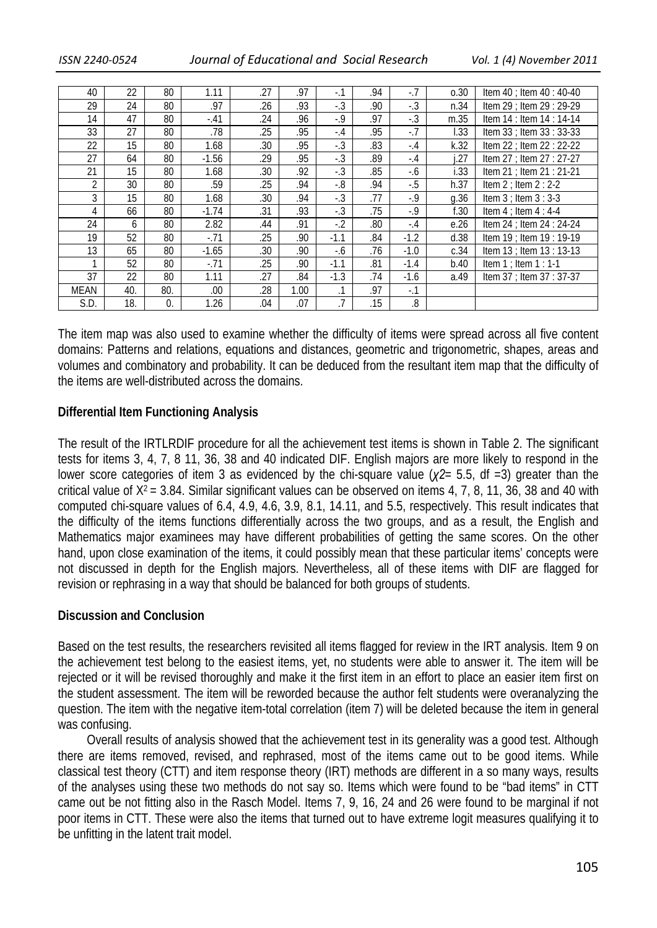| 40             | 22  | 80  | 1.11    | .27 | .97  | $-1$           | .94 | $-7$   | 0.30 | Item $40$ ; Item $40:40-40$   |
|----------------|-----|-----|---------|-----|------|----------------|-----|--------|------|-------------------------------|
| 29             | 24  | 80  | .97     | .26 | .93  | $-.3$          | .90 | $-.3$  | n.34 | Item $29$ ; Item $29:29-29$   |
| 14             | 47  | 80  | $-.41$  | .24 | .96  | $-0.9$         | .97 | $-.3$  | m.35 | Item 14 : Item 14 : 14-14     |
| 33             | 27  | 80  | .78     | .25 | .95  | $-.4$          | .95 | $-7$   | 1.33 | Item 33 ; Item 33 : 33-33     |
| 22             | 15  | 80  | 1.68    | .30 | .95  | $-.3$          | .83 | $-.4$  | k.32 | Item 22 ; Item 22 : 22-22     |
| 27             | 64  | 80  | $-1.56$ | .29 | .95  | $-.3$          | .89 | $-.4$  | .27  | Item 27 ; Item 27 : 27-27     |
| 21             | 15  | 80  | 1.68    | .30 | .92  | $-.3$          | .85 | -.6    | i.33 | Item 21 ; Item 21 : 21-21     |
| $\overline{2}$ | 30  | 80  | .59     | .25 | .94  | $-0.8$         | .94 | $-5$   | h.37 | Item $2$ ; Item $2:2-2$       |
| 3              | 15  | 80  | 1.68    | .30 | .94  | $-.3$          | .77 | $-9$   | q.36 | Item $3$ ; Item $3:3-3$       |
| 4              | 66  | 80  | $-1.74$ | .31 | .93  | $-.3$          | .75 | $-9$   | f.30 | Item $4$ ; Item $4:4-4$       |
| 24             | 6   | 80  | 2.82    | .44 | .91  | $-2$           | .80 | $-.4$  | e.26 | Item $24$ : Item $24$ : 24-24 |
| 19             | 52  | 80  | $-71$   | .25 | .90  | $-1.1$         | .84 | $-1.2$ | d.38 | Item 19 ; Item 19 : 19-19     |
| 13             | 65  | 80  | $-1.65$ | .30 | .90  | $-6$           | .76 | $-1.0$ | c.34 | Item 13 ; Item 13 : 13-13     |
|                | 52  | 80  | $-.71$  | .25 | .90  | $-1.1$         | .81 | $-1.4$ | b.40 | Item $1$ ; Item $1:1-1$       |
| 37             | 22  | 80  | 1.11    | .27 | .84  | $-1.3$         | .74 | $-1.6$ | a.49 | Item 37 ; Item 37 : 37-37     |
| <b>MEAN</b>    | 40. | 80. | .00     | .28 | 1.00 | $\cdot$ 1      | .97 | $-.1$  |      |                               |
| S.D.           | 18. | 0   | 1.26    | .04 | .07  | $\overline{7}$ | .15 | 8.     |      |                               |

The item map was also used to examine whether the difficulty of items were spread across all five content domains: Patterns and relations, equations and distances, geometric and trigonometric, shapes, areas and volumes and combinatory and probability. It can be deduced from the resultant item map that the difficulty of the items are well-distributed across the domains.

## **Differential Item Functioning Analysis**

The result of the IRTLRDIF procedure for all the achievement test items is shown in Table 2. The significant tests for items 3, 4, 7, 8 11, 36, 38 and 40 indicated DIF. English majors are more likely to respond in the lower score categories of item 3 as evidenced by the chi-square value (*χ2*= 5.5, df =3) greater than the critical value of  $X^2 = 3.84$ . Similar significant values can be observed on items 4, 7, 8, 11, 36, 38 and 40 with computed chi-square values of 6.4, 4.9, 4.6, 3.9, 8.1, 14.11, and 5.5, respectively. This result indicates that the difficulty of the items functions differentially across the two groups, and as a result, the English and Mathematics major examinees may have different probabilities of getting the same scores. On the other hand, upon close examination of the items, it could possibly mean that these particular items' concepts were not discussed in depth for the English majors. Nevertheless, all of these items with DIF are flagged for revision or rephrasing in a way that should be balanced for both groups of students.

### **Discussion and Conclusion**

Based on the test results, the researchers revisited all items flagged for review in the IRT analysis. Item 9 on the achievement test belong to the easiest items, yet, no students were able to answer it. The item will be rejected or it will be revised thoroughly and make it the first item in an effort to place an easier item first on the student assessment. The item will be reworded because the author felt students were overanalyzing the question. The item with the negative item-total correlation (item 7) will be deleted because the item in general was confusing.

 Overall results of analysis showed that the achievement test in its generality was a good test. Although there are items removed, revised, and rephrased, most of the items came out to be good items. While classical test theory (CTT) and item response theory (IRT) methods are different in a so many ways, results of the analyses using these two methods do not say so. Items which were found to be "bad items" in CTT came out be not fitting also in the Rasch Model. Items 7, 9, 16, 24 and 26 were found to be marginal if not poor items in CTT. These were also the items that turned out to have extreme logit measures qualifying it to be unfitting in the latent trait model.